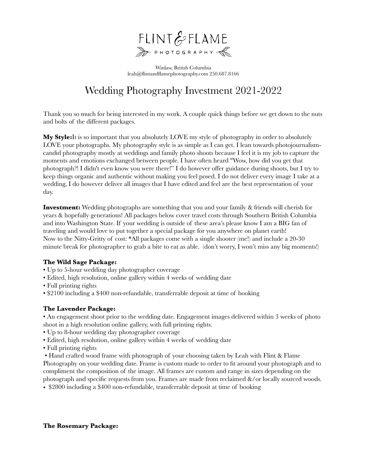

Winlaw, British Columbia leah@flintandflamephotography.com 250.687.8166

# Wedding Photography Investment 2021-2022

Thank you so much for being interested in my work. A couple quick things before we get down to the nuts and bolts of the different packages.

**My Style:**It is so important that you absolutely LOVE my style of photography in order to absolutely LOVE your photographs. My photography style is as simple as I can get. I lean towards photojournalismcandid photography mostly at weddings and family photo shoots because I feel it is my job to capture the moments and emotions exchanged between people. I have often heard "Wow, how did you get that photograph?! I didn't even know you were there!" I do however offer guidance during shoots, but I try to keep things organic and authentic without making you feel posed. I do not deliver every image I take at a wedding, I do however deliver all images that I have edited and feel are the best representation of your day.

**Investment:** Wedding photographs are something that you and your family & friends will cherish for years & hopefully generations! All packages below cover travel costs through Southern British Columbia and into Washington State. If your wedding is outside of these area's please know I am a BIG fan of traveling and would love to put together a special package for you anywhere on planet earth! Now to the Nitty-Gritty of cost: \*All packages come with a single shooter (me!) and include a 20-30 minute break for photographer to grab a bite to eat as able. (don't worry, I won't miss any big moments!)

## **The Wild Sage Package:**

- Up to 5-hour wedding day photographer coverage
- Edited, high resolution, online gallery within 4 weeks of wedding date
- Full printing rights
- \$2100 including a \$400 non-refundable, transferrable deposit at time of booking

#### **The Lavender Package:**

• An engagement shoot prior to the wedding date. Engagement images delivered within 3 weeks of photo shoot in a high resolution online gallery, with full printing rights.

- Up to 8-hour wedding day photographer coverage
- Edited, high resolution, online gallery within 4 weeks of wedding date
- Full printing rights
- Hand crafted wood frame with photograph of your choosing taken by Leah with Flint & Flame

Photography on your wedding date. Frame is custom made to order to fit around your photograph and to compliment the composition of the image. All frames are custom and range in sizes depending on the photograph and specific requests from you. Frames are made from reclaimed &/or locally sourced woods.

• \$2800 including a \$400 non-refundable, transferrable deposit at time of booking

#### **The Rosemary Package:**